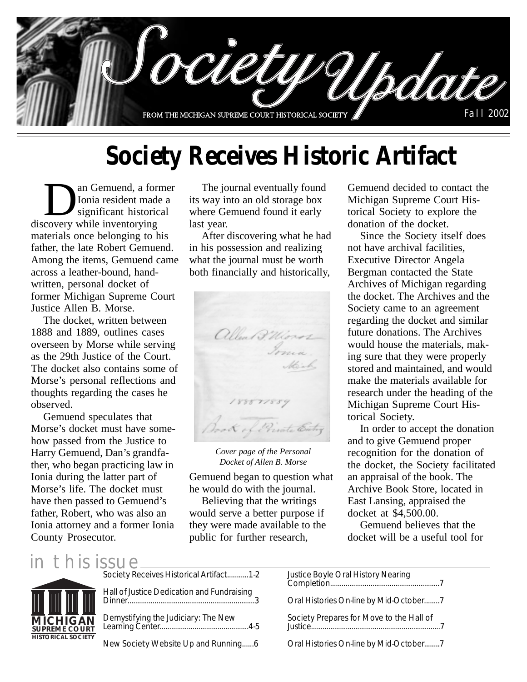

# **Society Receives Historic Artifact**

an Gemuend, a former<br>
Ionia resident made a<br>
significant historical<br>
covery while inventorying Ionia resident made a significant historical discovery while inventorying materials once belonging to his father, the late Robert Gemuend. Among the items, Gemuend came across a leather-bound, handwritten, personal docket of former Michigan Supreme Court Justice Allen B. Morse.

The docket, written between 1888 and 1889, outlines cases overseen by Morse while serving as the 29th Justice of the Court. The docket also contains some of Morse's personal reflections and thoughts regarding the cases he observed.

Gemuend speculates that Morse's docket must have somehow passed from the Justice to Harry Gemuend, Dan's grandfather, who began practicing law in Ionia during the latter part of Morse's life. The docket must have then passed to Gemuend's father, Robert, who was also an Ionia attorney and a former Ionia County Prosecutor.

The journal eventually found its way into an old storage box where Gemuend found it early last year.

After discovering what he had in his possession and realizing what the journal must be worth both financially and historically,



*Cover page of the Personal Docket of Allen B. Morse*

Gemuend began to question what he would do with the journal.

Believing that the writings would serve a better purpose if they were made available to the public for further research,

Gemuend decided to contact the Michigan Supreme Court Historical Society to explore the donation of the docket.

Since the Society itself does not have archival facilities, Executive Director Angela Bergman contacted the State Archives of Michigan regarding the docket. The Archives and the Society came to an agreement regarding the docket and similar future donations. The Archives would house the materials, making sure that they were properly stored and maintained, and would make the materials available for research under the heading of the Michigan Supreme Court Historical Society.

In order to accept the donation and to give Gemuend proper recognition for the donation of the docket, the Society facilitated an appraisal of the book. The Archive Book Store, located in East Lansing, appraised the docket at \$4,500.00.

Gemuend believes that the docket will be a useful tool for

#### in this issue



New Society Website Up and Running......6

Oral Histories On-line by Mid-October........7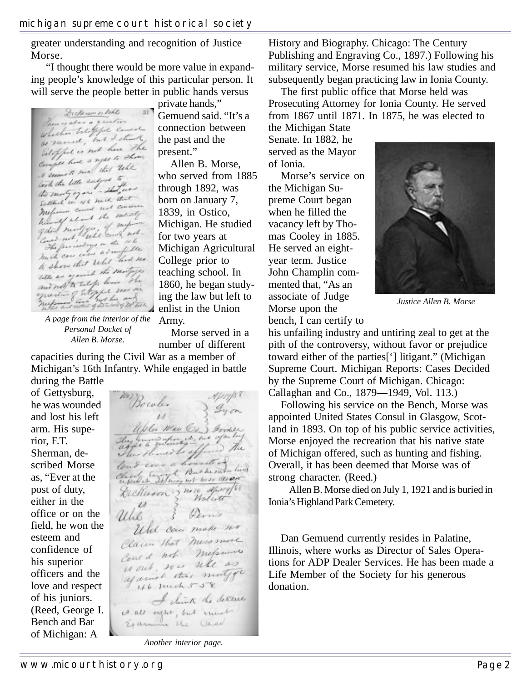greater understanding and recognition of Justice Morse.

 "I thought there would be more value in expanding people's knowledge of this particular person. It will serve the people better in public hands versus

Dickenson or like  $ST$ There is also a greation whether Estoppe consert be rained, not have the Estopped is not a ghose. Comple have a filed table took the lette subject to look the letter subject the Settled in 46 mil. that Sellant in 46 hours common metring about the satisfy hand not feel and not The four was a sunfille mach can cover about had no to show that the motors with an of the taly live the and not a subget was in

private hands," Gemuend said. "It's a connection between the past and the present."

Allen B. Morse, who served from 1885 through 1892, was born on January 7, 1839, in Ostico, Michigan. He studied for two years at Michigan Agricultural College prior to teaching school. In 1860, he began studying the law but left to enlist in the Union Army.

*A page from the interior of the Personal Docket of Allen B. Morse.*

Morse served in a number of different

capacities during the Civil War as a member of Michigan's 16th Infantry. While engaged in battle during the Battle

of Gettysburg, he was wounded and lost his left arm. His superior, F.T. Sherman, described Morse as, "Ever at the post of duty, either in the office or on the field, he won the esteem and confidence of his superior officers and the love and respect of his juniors. (Reed, George I. Bench and Bar of Michigan: A

Bowle. Uller Man Co. ) Gooder They mind whom it, but of ou long D The The showed be of loud cover a housetter loud ever a housel of his Deckeron 2 no 10 april 188 Wolid Pinis Uhl Whit can make no Claim that miss more Could not mefamore could, so is will as against this motor  $46$  Juich 558 I clink the detter is all outer, but much Examine the Class

*Another interior page.*

History and Biography. Chicago: The Century Publishing and Engraving Co., 1897.) Following his military service, Morse resumed his law studies and subsequently began practicing law in Ionia County.

The first public office that Morse held was Prosecuting Attorney for Ionia County. He served from 1867 until 1871. In 1875, he was elected to

the Michigan State Senate. In 1882, he served as the Mayor of Ionia.

Morse's service on the Michigan Supreme Court began when he filled the vacancy left by Thomas Cooley in 1885. He served an eightyear term. Justice John Champlin commented that, "As an associate of Judge Morse upon the bench, I can certify to



*Justice Allen B. Morse*

his unfailing industry and untiring zeal to get at the pith of the controversy, without favor or prejudice toward either of the parties['] litigant." (Michigan Supreme Court. Michigan Reports: Cases Decided by the Supreme Court of Michigan. Chicago: Callaghan and Co., 1879—1949, Vol. 113.)

Following his service on the Bench, Morse was appointed United States Consul in Glasgow, Scotland in 1893. On top of his public service activities, Morse enjoyed the recreation that his native state of Michigan offered, such as hunting and fishing. Overall, it has been deemed that Morse was of strong character. (Reed.)

Allen B. Morse died on July 1, 1921 and is buried in Ionia's Highland Park Cemetery.

Dan Gemuend currently resides in Palatine, Illinois, where works as Director of Sales Operations for ADP Dealer Services. He has been made a Life Member of the Society for his generous donation.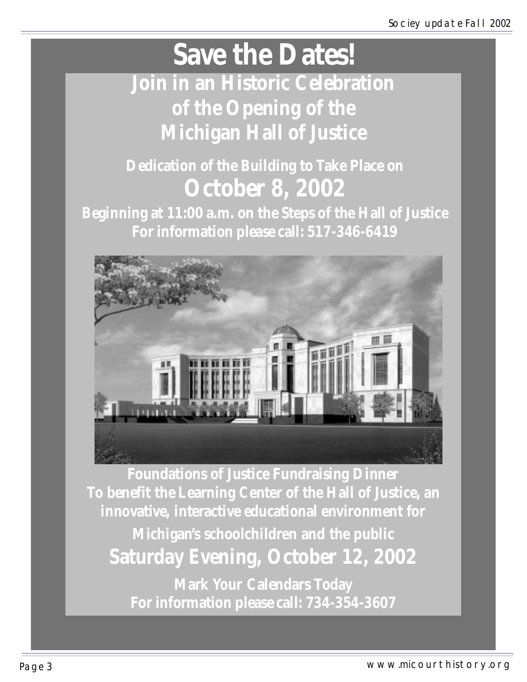# **Save the Dates!**

**Join in an Historic Celebration of the Opening of the Michigan Hall of Justice**

## **Dedication of the Building to Take Place on October 8, 2002**

**Beginning at 11:00 a.m. on the Steps of the Hall of Justice For information please call: 517-346-6419**



**Foundations of Justice Fundraising Dinner To benefit the Learning Center of the Hall of Justice, an innovative, interactive educational environment for Michigan's schoolchildren and the public Saturday Evening, October 12, 2002 Mark Your Calendars Today**

**For information please call: 734-354-3607**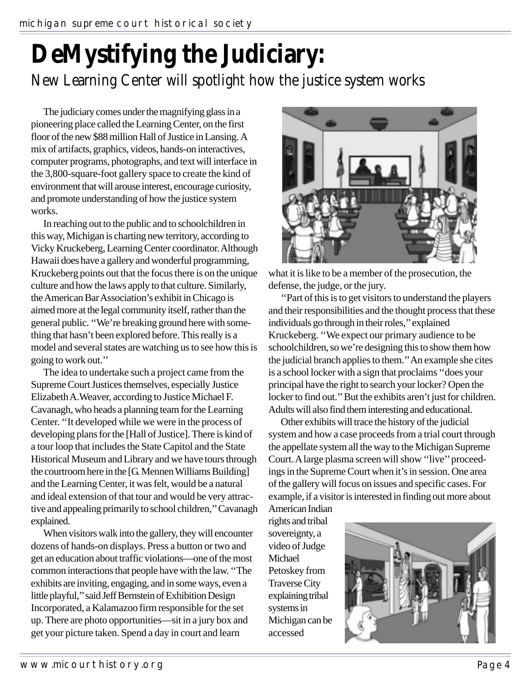# **DeMystifying the Judiciary:**

#### New Learning Center will spotlight how the justice system works

The judiciary comes under the magnifying glass in a pioneering place called the Learning Center, on the first floor of the new \$88 million Hall of Justice in Lansing. A mix of artifacts, graphics, videos, hands-on interactives, computer programs, photographs, and text will interface in the 3,800-square-foot gallery space to create the kind of environment that will arouse interest, encourage curiosity, and promote understanding of how the justice system works.

In reaching out to the public and to schoolchildren in this way, Michigan is charting new territory, according to Vicky Kruckeberg, Learning Center coordinator. Although Hawaii does have a gallery and wonderful programming, Kruckeberg points out that the focus there is on the unique culture and how the laws apply to that culture. Similarly, the American Bar Association's exhibit in Chicago is aimed more at the legal community itself, rather than the general public. ''We're breaking ground here with something that hasn't been explored before. This really is a model and several states are watching us to see how this is going to work out.''

The idea to undertake such a project came from the Supreme Court Justices themselves, especially Justice Elizabeth A.Weaver, according to Justice Michael F. Cavanagh, who heads a planning team for the Learning Center. ''It developed while we were in the process of developing plans for the [Hall of Justice]. There is kind of a tour loop that includes the State Capitol and the State Historical Museum and Library and we have tours through the courtroom here in the [G. Mennen Williams Building] and the Learning Center, it was felt, would be a natural and ideal extension of that tour and would be very attractive and appealing primarily to school children,'' Cavanagh explained.

When visitors walk into the gallery, they will encounter dozens of hands-on displays. Press a button or two and get an education about traffic violations—one of the most common interactions that people have with the law. ''The exhibits are inviting, engaging, and in some ways, even a little playful,'' said Jeff Bernstein of Exhibition Design Incorporated, a Kalamazoo firm responsible for the set up. There are photo opportunities—sit in a jury box and get your picture taken. Spend a day in court and learn



what it is like to be a member of the prosecution, the defense, the judge, or the jury.

''Part of this is to get visitors to understand the players and their responsibilities and the thought process that these individuals go through in their roles,'' explained Kruckeberg. ''We expect our primary audience to be schoolchildren, so we're designing this to show them how the judicial branch applies to them.'' An example she cites is a school locker with a sign that proclaims ''does your principal have the right to search your locker? Open the locker to find out.'' But the exhibits aren't just for children. Adults will also find them interesting and educational.

Other exhibits will trace the history of the judicial system and how a case proceeds from a trial court through the appellate system all the way to the Michigan Supreme Court. A large plasma screen will show ''live'' proceedings in the Supreme Court when it's in session. One area of the gallery will focus on issues and specific cases. For example, if a visitor is interested in finding out more about American Indian

rights and tribal sovereignty, a video of Judge Michael Petoskey from Traverse City explaining tribal systems in Michigan can be accessed

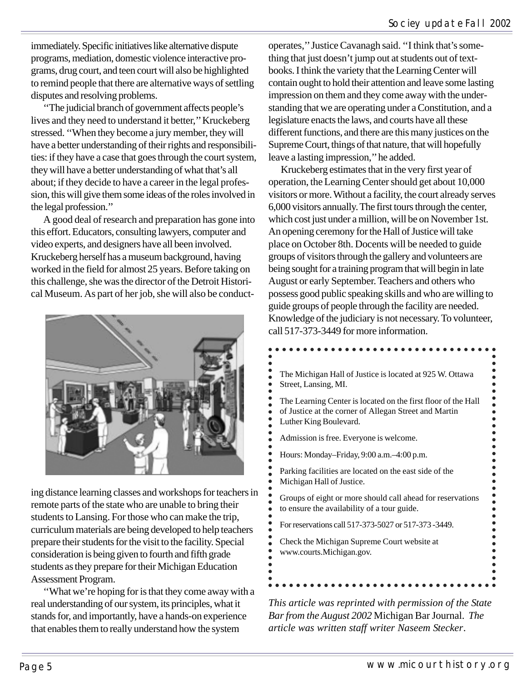immediately. Specific initiatives like alternative dispute programs, mediation, domestic violence interactive programs, drug court, and teen court will also be highlighted to remind people that there are alternative ways of settling disputes and resolving problems.

''The judicial branch of government affects people's lives and they need to understand it better,'' Kruckeberg stressed. ''When they become a jury member, they will have a better understanding of their rights and responsibilities: if they have a case that goes through the court system, they will have a better understanding of what that's all about; if they decide to have a career in the legal profession, this will give them some ideas of the roles involved in the legal profession.''

A good deal of research and preparation has gone into this effort. Educators, consulting lawyers, computer and video experts, and designers have all been involved. Kruckeberg herself has a museum background, having worked in the field for almost 25 years. Before taking on this challenge, she was the director of the Detroit Historical Museum. As part of her job, she will also be conduct-



ing distance learning classes and workshops for teachers in remote parts of the state who are unable to bring their students to Lansing. For those who can make the trip, curriculum materials are being developed to help teachers prepare their students for the visit to the facility. Special consideration is being given to fourth and fifth grade students as they prepare for their Michigan Education Assessment Program.

''What we're hoping for is that they come away with a real understanding of our system, its principles, what it stands for, and importantly, have a hands-on experience that enables them to really understand how the system

operates,'' Justice Cavanagh said. ''I think that's something that just doesn't jump out at students out of textbooks. I think the variety that the Learning Center will contain ought to hold their attention and leave some lasting impression on them and they come away with the understanding that we are operating under a Constitution, and a legislature enacts the laws, and courts have all these different functions, and there are this many justices on the Supreme Court, things of that nature, that will hopefully leave a lasting impression,'' he added.

Kruckeberg estimates that in the very first year of operation, the Learning Center should get about 10,000 visitors or more. Without a facility, the court already serves 6,000 visitors annually. The first tours through the center, which cost just under a million, will be on November 1st. An opening ceremony for the Hall of Justice will take place on October 8th. Docents will be needed to guide groups of visitors through the gallery and volunteers are being sought for a training program that will begin in late August or early September. Teachers and others who possess good public speaking skills and who are willing to guide groups of people through the facility are needed. Knowledge of the judiciary is not necessary. To volunteer, call 517-373-3449 for more information.

| The Michigan Hall of Justice is located at 925 W. Ottawa<br>Street, Lansing, MI.                                                                 |
|--------------------------------------------------------------------------------------------------------------------------------------------------|
| The Learning Center is located on the first floor of the Hall<br>of Justice at the corner of Allegan Street and Martin<br>Luther King Boulevard. |
| Admission is free. Everyone is welcome.                                                                                                          |
| Hours: Monday-Friday, 9:00 a.m.-4:00 p.m.                                                                                                        |
| Parking facilities are located on the east side of the<br>Michigan Hall of Justice.                                                              |
| Groups of eight or more should call ahead for reservations<br>to ensure the availability of a tour guide.                                        |
| For reservations call 517-373-5027 or 517-373-3449.                                                                                              |
| Check the Michigan Supreme Court website at<br>www.courts.Michigan.gov.                                                                          |
|                                                                                                                                                  |

*This article was reprinted with permission of the State Bar from the August 2002* Michigan Bar Journal. *The article was written staff writer Naseem Stecker*.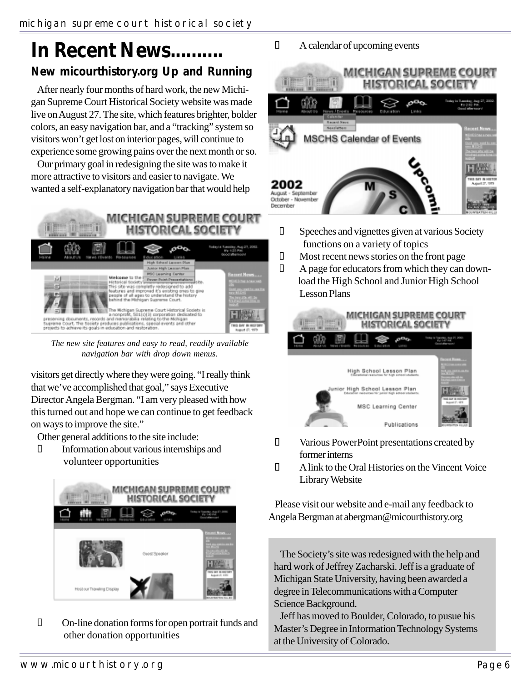## **In Recent News.......... New micourthistory.org Up and Running**

After nearly four months of hard work, the new Michigan Supreme Court Historical Society website was made live on August 27. The site, which features brighter, bolder colors, an easy navigation bar, and a "tracking" system so visitors won't get lost on interior pages, will continue to experience some growing pains over the next month or so.

Our primary goal in redesigning the site was to make it more attractive to visitors and easier to navigate. We wanted a self-explanatory navigation bar that would help



*The new site features and easy to read, readily available navigation bar with drop down menus.*

visitors get directly where they were going. "I really think that we've accomplished that goal," says Executive Director Angela Bergman. "I am very pleased with how this turned out and hope we can continue to get feedback on ways to improve the site."

Other general additions to the site include:

 Information about various internships and volunteer opportunities



 On-line donation forms for open portrait funds and other donation opportunities

A calendar of upcoming events



 Speeches and vignettes given at various Society functions on a variety of topics Most recent news stories on the front page A page for educators from which they can down load the High School and Junior High School Lesson Plans



 Various PowerPoint presentations created by former interns A link to the Oral Histories on the Vincent Voice Library Website

Please visit our website and e-mail any feedback to Angela Bergman at abergman@micourthistory.org

The Society's site was redesigned with the help and hard work of Jeffrey Zacharski. Jeff is a graduate of Michigan State University, having been awarded a degree in Telecommunications with a Computer Science Background.

Jeff has moved to Boulder, Colorado, to pusue his Master's Degree in Information Technology Systems at the University of Colorado.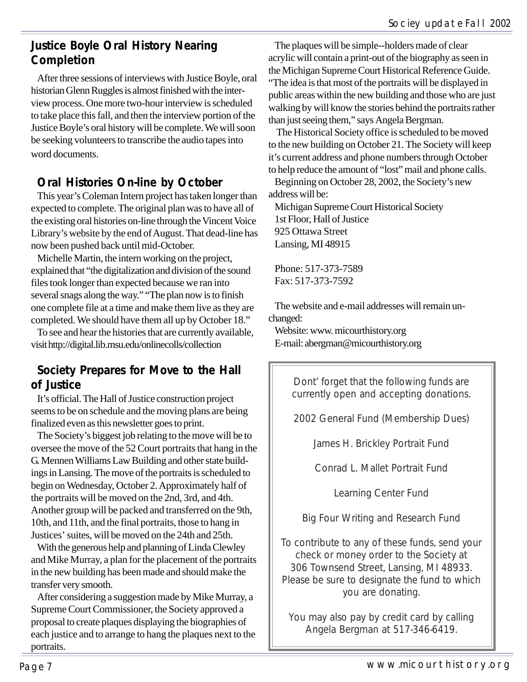#### **Justice Boyle Oral History Nearing Completion**

After three sessions of interviews with Justice Boyle, oral historian Glenn Ruggles is almost finished with the interview process. One more two-hour interview is scheduled to take place this fall, and then the interview portion of the Justice Boyle's oral history will be complete. We will soon be seeking volunteers to transcribe the audio tapes into word documents.

#### **Oral Histories On-line by October**

This year's Coleman Intern project has taken longer than expected to complete. The original plan was to have all of the existing oral histories on-line through the Vincent Voice Library's website by the end of August. That dead-line has now been pushed back until mid-October.

Michelle Martin, the intern working on the project, explained that "the digitalization and division of the sound files took longer than expected because we ran into several snags along the way." "The plan now is to finish one complete file at a time and make them live as they are completed. We should have them all up by October 18."

To see and hear the histories that are currently available, visit http://digital.lib.msu.edu/onlinecolls/collection

#### **Society Prepares for Move to the Hall of Justice**

It's official. The Hall of Justice construction project seems to be on schedule and the moving plans are being finalized even as this newsletter goes to print.

The Society's biggest job relating to the move will be to oversee the move of the 52 Court portraits that hang in the G. Mennen Williams Law Building and other state buildings in Lansing. The move of the portraits is scheduled to begin on Wednesday, October 2. Approximately half of the portraits will be moved on the 2nd, 3rd, and 4th. Another group will be packed and transferred on the 9th, 10th, and 11th, and the final portraits, those to hang in Justices' suites, will be moved on the 24th and 25th.

With the generous help and planning of Linda Clewley and Mike Murray, a plan for the placement of the portraits in the new building has been made and should make the transfer very smooth.

After considering a suggestion made by Mike Murray, a Supreme Court Commissioner, the Society approved a proposal to create plaques displaying the biographies of each justice and to arrange to hang the plaques next to the portraits.

The plaques will be simple--holders made of clear acrylic will contain a print-out of the biography as seen in the Michigan Supreme Court Historical Reference Guide. "The idea is that most of the portraits will be displayed in public areas within the new building and those who are just walking by will know the stories behind the portraits rather than just seeing them," says Angela Bergman.

 The Historical Society office is scheduled to be moved to the new building on October 21. The Society will keep it's current address and phone numbers through October to help reduce the amount of "lost" mail and phone calls.

Beginning on October 28, 2002, the Society's new address will be:

Michigan Supreme Court Historical Society 1st Floor, Hall of Justice 925 Ottawa Street Lansing, MI 48915

Phone: 517-373-7589 Fax: 517-373-7592

The website and e-mail addresses will remain unchanged:

Website: www. micourthistory.org E-mail: abergman@micourthistory.org

> Dont' forget that the following funds are currently open and accepting donations.

2002 General Fund (Membership Dues)

James H. Brickley Portrait Fund

Conrad L. Mallet Portrait Fund

Learning Center Fund

Big Four Writing and Research Fund

To contribute to any of these funds, send your check or money order to the Society at 306 Townsend Street, Lansing, MI 48933. Please be sure to designate the fund to which you are donating.

You may also pay by credit card by calling Angela Bergman at 517-346-6419.